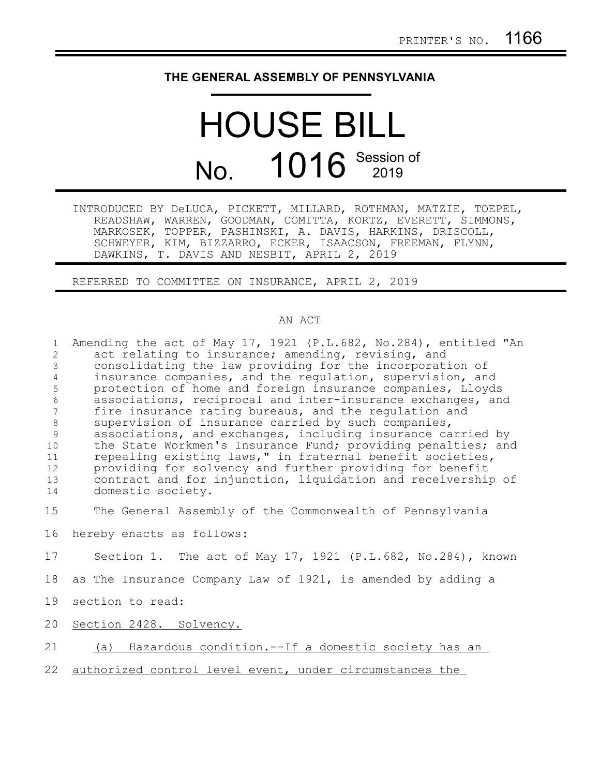## **THE GENERAL ASSEMBLY OF PENNSYLVANIA**

## HOUSE BILL No. 1016 Session of

INTRODUCED BY DeLUCA, PICKETT, MILLARD, ROTHMAN, MATZIE, TOEPEL, READSHAW, WARREN, GOODMAN, COMITTA, KORTZ, EVERETT, SIMMONS, MARKOSEK, TOPPER, PASHINSKI, A. DAVIS, HARKINS, DRISCOLL, SCHWEYER, KIM, BIZZARRO, ECKER, ISAACSON, FREEMAN, FLYNN, DAWKINS, T. DAVIS AND NESBIT, APRIL 2, 2019

REFERRED TO COMMITTEE ON INSURANCE, APRIL 2, 2019

## AN ACT

| $\mathbf{1}$    | Amending the act of May 17, 1921 (P.L.682, No.284), entitled "An |
|-----------------|------------------------------------------------------------------|
| 2               | act relating to insurance; amending, revising, and               |
| 3               | consolidating the law providing for the incorporation of         |
| 4               | insurance companies, and the regulation, supervision, and        |
| 5               | protection of home and foreign insurance companies, Lloyds       |
| 6               | associations, reciprocal and inter-insurance exchanges, and      |
| $7\phantom{.0}$ | fire insurance rating bureaus, and the regulation and            |
| $\,8\,$         | supervision of insurance carried by such companies,              |
| 9               | associations, and exchanges, including insurance carried by      |
| 10              | the State Workmen's Insurance Fund; providing penalties; and     |
| 11              | repealing existing laws," in fraternal benefit societies,        |
| 12              | providing for solvency and further providing for benefit         |
| 13              | contract and for injunction, liquidation and receivership of     |
| 14              | domestic society.                                                |
| 15              | The General Assembly of the Commonwealth of Pennsylvania         |
|                 |                                                                  |
| 16              | hereby enacts as follows:                                        |
| 17              | Section 1. The act of May 17, 1921 (P.L.682, No.284), known      |
| 18              | as The Insurance Company Law of 1921, is amended by adding a     |
| 19              | section to read:                                                 |
| 20              | Section 2428. Solvency.                                          |
| 21              | (a) Hazardous condition.--If a domestic society has an           |
| 22              | authorized control level event, under circumstances the          |
|                 |                                                                  |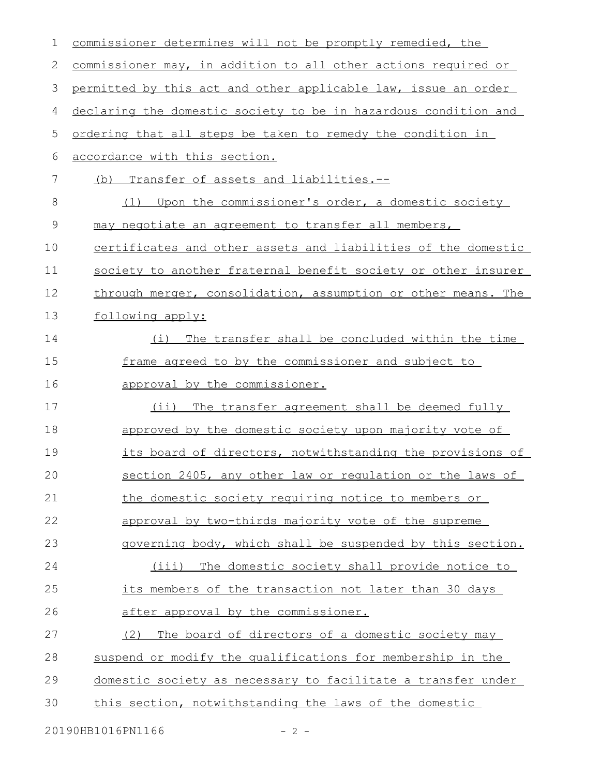| 1            | commissioner determines will not be promptly remedied, the      |  |
|--------------|-----------------------------------------------------------------|--|
| $\mathbf{2}$ | commissioner may, in addition to all other actions required or  |  |
| 3            | permitted by this act and other applicable law, issue an order  |  |
| 4            | declaring the domestic society to be in hazardous condition and |  |
| 5            | ordering that all steps be taken to remedy the condition in     |  |
| 6            | accordance with this section.                                   |  |
| 7            | Transfer of assets and liabilities.--<br>(b)                    |  |
| 8            | Upon the commissioner's order, a domestic society<br>(1)        |  |
| $\mathsf 9$  | may negotiate an agreement to transfer all members,             |  |
| 10           | certificates and other assets and liabilities of the domestic   |  |
| 11           | society to another fraternal benefit society or other insurer   |  |
| 12           | through merger, consolidation, assumption or other means. The   |  |
| 13           | following apply:                                                |  |
| 14           | The transfer shall be concluded within the time<br>(i)          |  |
| 15           | frame agreed to by the commissioner and subject to              |  |
| 16           | approval by the commissioner.                                   |  |
| 17           | $(i$ i)<br>The transfer agreement shall be deemed fully         |  |
| 18           | approved by the domestic society upon majority vote of          |  |
| 19           | its board of directors, notwithstanding the provisions of       |  |
| 20           | section 2405, any other law or regulation or the laws of        |  |
| 21           | the domestic society requiring notice to members or             |  |
| 22           | approval by two-thirds majority vote of the supreme             |  |
| 23           | governing body, which shall be suspended by this section.       |  |
| 24           | (iii) The domestic society shall provide notice to              |  |
| 25           | its members of the transaction not later than 30 days           |  |
| 26           | after approval by the commissioner.                             |  |
| 27           | The board of directors of a domestic society may<br>(2)         |  |
| 28           | suspend or modify the qualifications for membership in the      |  |
| 29           | domestic society as necessary to facilitate a transfer under    |  |
| 30           | this section, notwithstanding the laws of the domestic          |  |
|              | 20190HB1016PN1166<br>$-2 -$                                     |  |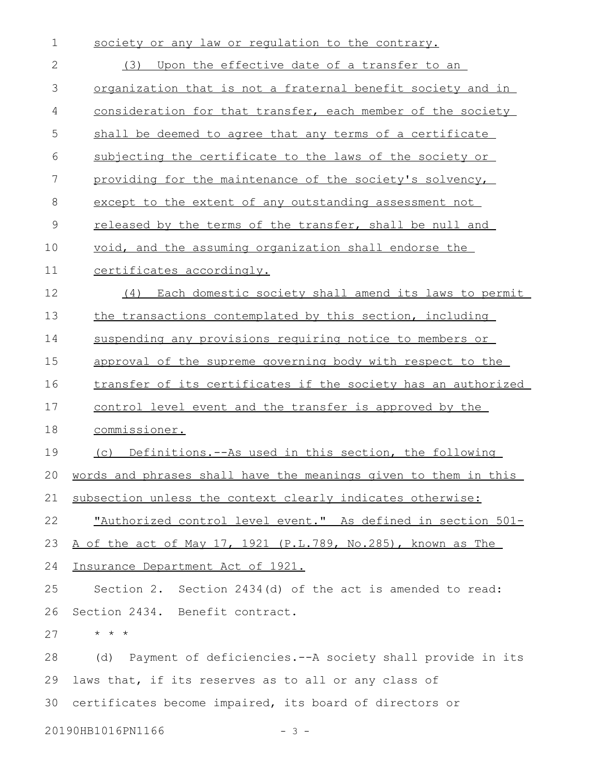| $\mathbf 1$   | society or any law or regulation to the contrary.                  |
|---------------|--------------------------------------------------------------------|
| 2             | Upon the effective date of a transfer to an<br>(3)                 |
| 3             | <u>organization that is not a fraternal benefit society and in</u> |
| 4             | consideration for that transfer, each member of the society        |
| 5             | shall be deemed to agree that any terms of a certificate           |
| 6             | subjecting the certificate to the laws of the society or           |
| 7             | providing for the maintenance of the society's solvency,           |
| 8             | except to the extent of any outstanding assessment not             |
| $\mathcal{G}$ | released by the terms of the transfer, shall be null and           |
| 10            | void, and the assuming organization shall endorse the              |
| 11            | certificates accordingly.                                          |
| 12            | (4) Each domestic society shall amend its laws to permit           |
| 13            | the transactions contemplated by this section, including           |
| 14            | suspending any provisions requiring notice to members or           |
| 15            | approval of the supreme governing body with respect to the         |
| 16            | transfer of its certificates if the society has an authorized      |
| 17            | control level event and the transfer is approved by the            |
| 18            | commissioner.                                                      |
| 19            | (c) Definitions.--As used in this section, the following           |
|               | 20 words and phrases shall have the meanings given to them in this |
| 21            | subsection unless the context clearly indicates otherwise:         |
| 22            | "Authorized control level event." As defined in section 501-       |
| 23            | A of the act of May 17, 1921 (P.L.789, No.285), known as The       |
| 24            | Insurance Department Act of 1921.                                  |
| 25            | Section 2. Section 2434(d) of the act is amended to read:          |
| 26            | Section 2434. Benefit contract.                                    |
| 27            | $\star$ $\star$ $\star$                                            |
| 28            | (d) Payment of deficiencies.--A society shall provide in its       |
| 29            | laws that, if its reserves as to all or any class of               |
| 30            | certificates become impaired, its board of directors or            |
|               | 20190HB1016PN1166<br>$-3 -$                                        |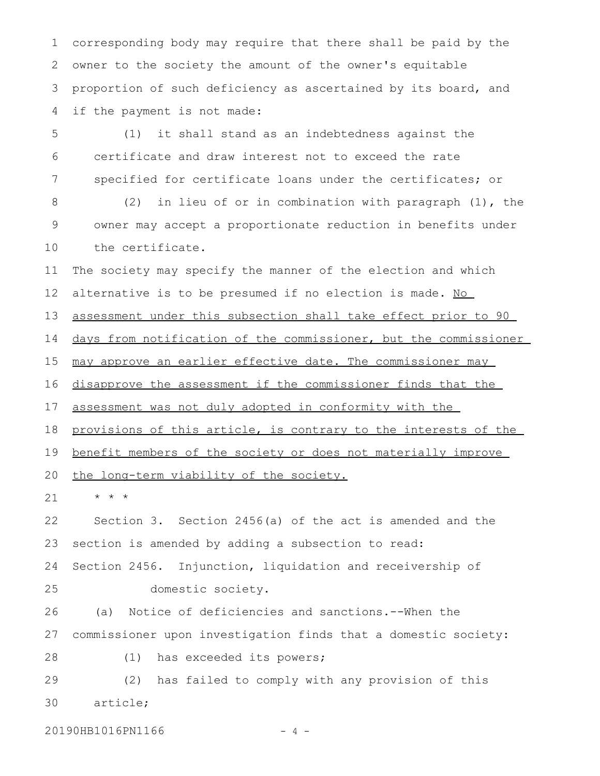corresponding body may require that there shall be paid by the owner to the society the amount of the owner's equitable proportion of such deficiency as ascertained by its board, and if the payment is not made: 1 2 3 4

(1) it shall stand as an indebtedness against the certificate and draw interest not to exceed the rate specified for certificate loans under the certificates; or 5 6 7

(2) in lieu of or in combination with paragraph (1), the owner may accept a proportionate reduction in benefits under the certificate. 8 9 10

The society may specify the manner of the election and which alternative is to be presumed if no election is made. No 11 12

assessment under this subsection shall take effect prior to 90 13

days from notification of the commissioner, but the commissioner 14

may approve an earlier effective date. The commissioner may 15

disapprove the assessment if the commissioner finds that the 16

assessment was not duly adopted in conformity with the 17

provisions of this article, is contrary to the interests of the 18

benefit members of the society or does not materially improve 19

the long-term viability of the society. 20

\* \* \* 21

Section 3. Section 2456(a) of the act is amended and the section is amended by adding a subsection to read: Section 2456. Injunction, liquidation and receivership of domestic society. 22 23 24 25

(a) Notice of deficiencies and sanctions.--When the commissioner upon investigation finds that a domestic society: 26 27

(1) has exceeded its powers; 28

(2) has failed to comply with any provision of this article; 29 30

20190HB1016PN1166 - 4 -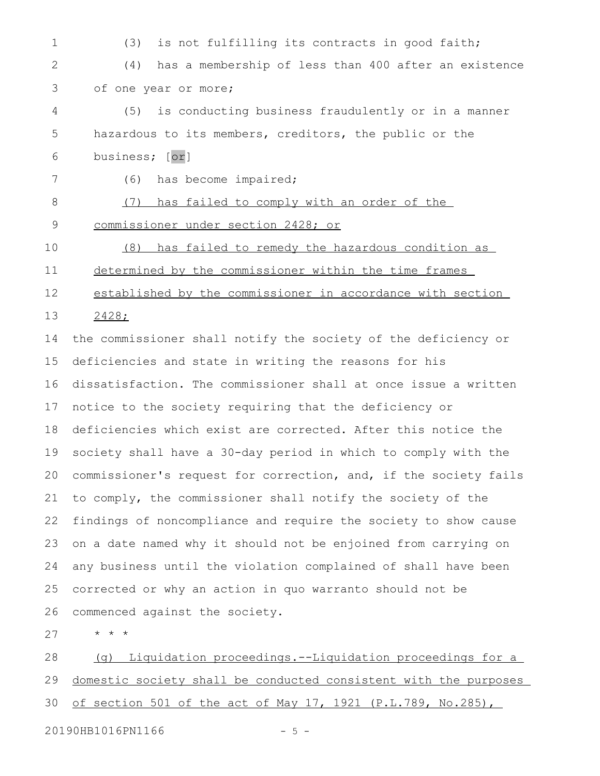(3) is not fulfilling its contracts in good faith; (4) has a membership of less than 400 after an existence of one year or more; (5) is conducting business fraudulently or in a manner hazardous to its members, creditors, the public or the business; [or] (6) has become impaired; (7) has failed to comply with an order of the commissioner under section 2428; or (8) has failed to remedy the hazardous condition as determined by the commissioner within the time frames established by the commissioner in accordance with section 2428; the commissioner shall notify the society of the deficiency or deficiencies and state in writing the reasons for his dissatisfaction. The commissioner shall at once issue a written notice to the society requiring that the deficiency or deficiencies which exist are corrected. After this notice the society shall have a 30-day period in which to comply with the commissioner's request for correction, and, if the society fails to comply, the commissioner shall notify the society of the findings of noncompliance and require the society to show cause on a date named why it should not be enjoined from carrying on any business until the violation complained of shall have been corrected or why an action in quo warranto should not be commenced against the society. \* \* \* 1 2 3 4 5 6 7 8 9 10 11 12 13 14 15 16 17 18 19 20 21 22 23 24 25 26 27

(g) Liquidation proceedings.--Liquidation proceedings for a domestic society shall be conducted consistent with the purposes of section 501 of the act of May 17, 1921 (P.L.789, No.285), 28 29 30

20190HB1016PN1166 - 5 -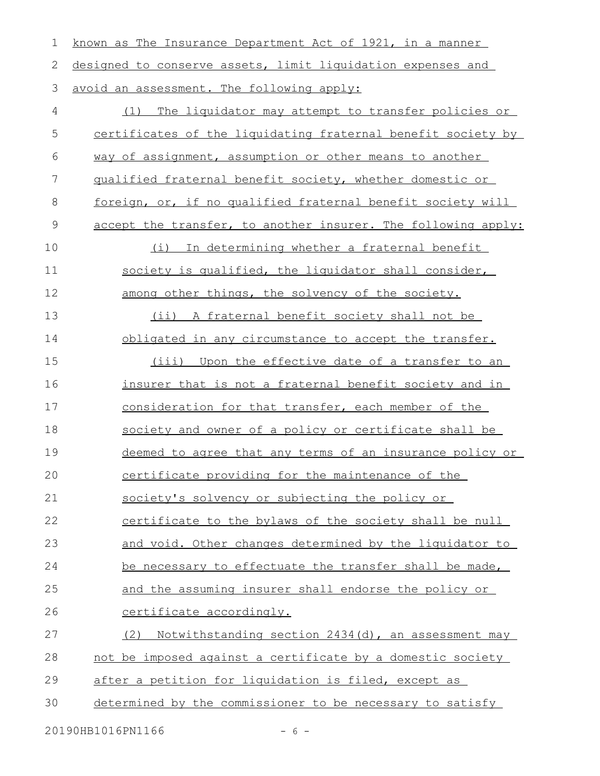| $\mathbf 1$ | known as The Insurance Department Act of 1921, in a manner    |
|-------------|---------------------------------------------------------------|
| 2           | designed to conserve assets, limit liquidation expenses and   |
| 3           | avoid an assessment. The following apply:                     |
| 4           | (1) The liquidator may attempt to transfer policies or        |
| 5           | certificates of the liquidating fraternal benefit society by  |
| 6           | way of assignment, assumption or other means to another       |
| 7           | qualified fraternal benefit society, whether domestic or      |
| 8           | foreign, or, if no qualified fraternal benefit society will   |
| $\mathsf 9$ | accept the transfer, to another insurer. The following apply: |
| 10          | In determining whether a fraternal benefit<br>(i)             |
| 11          | society is qualified, the liquidator shall consider,          |
| 12          | among other things, the solvency of the society.              |
| 13          | (ii) A fraternal benefit society shall not be                 |
| 14          | obligated in any circumstance to accept the transfer.         |
| 15          | (iii) Upon the effective date of a transfer to an             |
| 16          | insurer that is not a fraternal benefit society and in        |
| 17          | consideration for that transfer, each member of the           |
| 18          | society and owner of a policy or certificate shall be         |
| 19          | deemed to agree that any terms of an insurance policy or      |
| 20          | certificate providing for the maintenance of the              |
| 21          | society's solvency or subjecting the policy or                |
| 22          | certificate to the bylaws of the society shall be null        |
| 23          | and void. Other changes determined by the liquidator to       |
| 24          | be necessary to effectuate the transfer shall be made,        |
| 25          | and the assuming insurer shall endorse the policy or          |
| 26          | <u>certificate accordingly.</u>                               |
| 27          | Notwithstanding section 2434(d), an assessment may<br>(2)     |
| 28          | not be imposed against a certificate by a domestic society    |
| 29          | after a petition for liquidation is filed, except as          |
| 30          | determined by the commissioner to be necessary to satisfy     |
|             |                                                               |